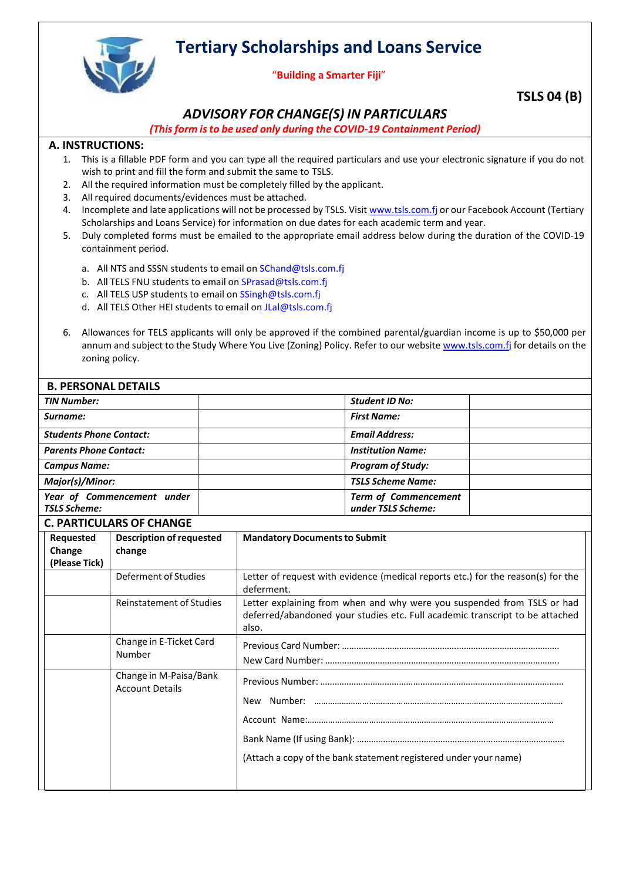**Tertiary Scholarships and Loans Service**



## "**Building a Smarter Fiji**"

## **TSLS 04 (B)**

## *ADVISORY FOR CHANGE(S) IN PARTICULARS*

*(Thisform isto be used only during the COVID-19 Containment Period)*

## **A. INSTRUCTIONS:**

- 1. This is a fillable PDF form and you can type all the required particulars and use your electronic signature if you do not wish to print and fill the form and submit the same to TSLS.
- 2. All the required information must be completely filled by the applicant.
- 3. All required documents/evidences must be attached.
- 4. Incomplete and late applications will not be processed by TSLS. Visit [www.tsls.com.fj](http://www.tslb.com.fj/) or our Facebook Account (Tertiary Scholarships and Loans Service) for information on due dates for each academic term and year.
- 5. Duly completed forms must be emailed to the appropriate email address below during the duration of the COVID-19 containment period.
	- a. All NTS and SSSN students to email on [SChand@tsls.com.fj](mailto:SChand@tsls.com.fj)
	- b. All TELS FNU students to email on [SPrasad@tsls.com.fj](mailto:SPrasad@tsls.com.fj)
	- c. All TELS USP students to email on [SSingh@tsls.com.fj](mailto:SSingh@tsls.com.fj)
	- d. All TELS Other HEI students to email on [JLal@tsls.com.fj](mailto:JLal@tsls.com.fj)
- 6. Allowances for TELS applicants will only be approved if the combined parental/guardian income is up to \$50,000 per annum and subject to the Study Where You Live (Zoning) Policy. Refer to our website [www.tsls.com.fj](http://www.tslb.com.fj/) for details on the zoning policy.

| <b>B. PERSONAL DETAILS</b>                        |                                                                                                      |  |                                                                                                                                                                  |  |  |  |
|---------------------------------------------------|------------------------------------------------------------------------------------------------------|--|------------------------------------------------------------------------------------------------------------------------------------------------------------------|--|--|--|
| <b>TIN Number:</b>                                |                                                                                                      |  | <b>Student ID No:</b>                                                                                                                                            |  |  |  |
| Surname:                                          |                                                                                                      |  | <b>First Name:</b>                                                                                                                                               |  |  |  |
| <b>Students Phone Contact:</b>                    |                                                                                                      |  | <b>Email Address:</b>                                                                                                                                            |  |  |  |
| <b>Parents Phone Contact:</b>                     |                                                                                                      |  | <b>Institution Name:</b>                                                                                                                                         |  |  |  |
| <b>Campus Name:</b>                               |                                                                                                      |  | <b>Program of Study:</b>                                                                                                                                         |  |  |  |
| Major(s)/Minor:                                   |                                                                                                      |  | <b>TSLS Scheme Name:</b>                                                                                                                                         |  |  |  |
| Year of Commencement under<br><b>TSLS Scheme:</b> |                                                                                                      |  | <b>Term of Commencement</b><br>under TSLS Scheme:                                                                                                                |  |  |  |
|                                                   | <b>C. PARTICULARS OF CHANGE</b>                                                                      |  |                                                                                                                                                                  |  |  |  |
| Requested<br>Change<br>(Please Tick)              | <b>Description of requested</b><br>change<br>Deferment of Studies<br><b>Reinstatement of Studies</b> |  | <b>Mandatory Documents to Submit</b>                                                                                                                             |  |  |  |
|                                                   |                                                                                                      |  | Letter of request with evidence (medical reports etc.) for the reason(s) for the<br>deferment.                                                                   |  |  |  |
|                                                   |                                                                                                      |  | Letter explaining from when and why were you suspended from TSLS or had<br>deferred/abandoned your studies etc. Full academic transcript to be attached<br>also. |  |  |  |
|                                                   | Change in E-Ticket Card<br>Number                                                                    |  |                                                                                                                                                                  |  |  |  |
|                                                   | Change in M-Paisa/Bank<br><b>Account Details</b>                                                     |  | (Attach a copy of the bank statement registered under your name)                                                                                                 |  |  |  |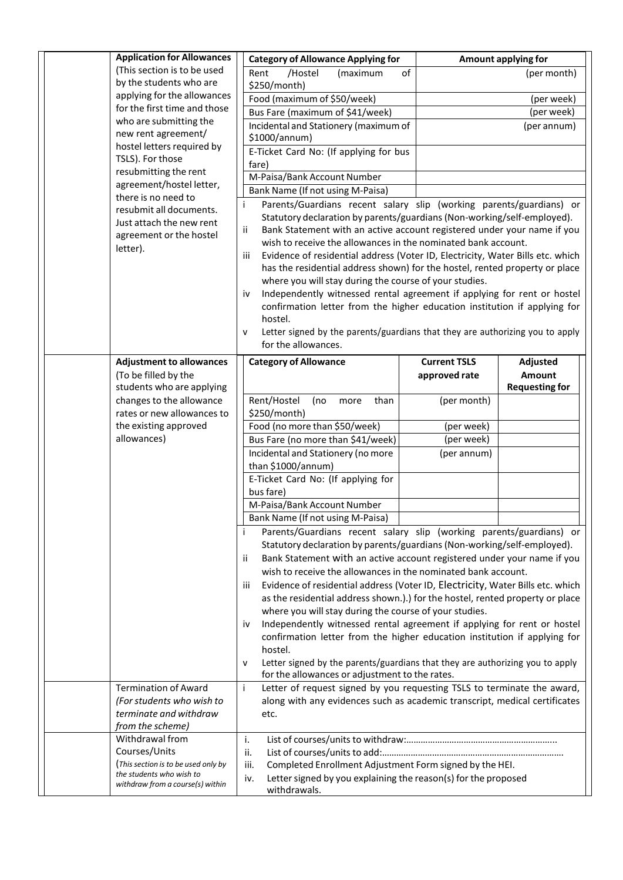| <b>Application for Allowances</b>                           | <b>Category of Allowance Applying for</b>                                                                                                                                                                                                                                                                                                                                                                                                                                                                                                    | Amount applying for                                                           |  |  |  |  |  |
|-------------------------------------------------------------|----------------------------------------------------------------------------------------------------------------------------------------------------------------------------------------------------------------------------------------------------------------------------------------------------------------------------------------------------------------------------------------------------------------------------------------------------------------------------------------------------------------------------------------------|-------------------------------------------------------------------------------|--|--|--|--|--|
| (This section is to be used                                 | Rent<br>/Hostel<br>(maximum                                                                                                                                                                                                                                                                                                                                                                                                                                                                                                                  | of<br>(per month)                                                             |  |  |  |  |  |
| by the students who are                                     | \$250/month)                                                                                                                                                                                                                                                                                                                                                                                                                                                                                                                                 |                                                                               |  |  |  |  |  |
| applying for the allowances<br>for the first time and those | Food (maximum of \$50/week)<br>(per week)                                                                                                                                                                                                                                                                                                                                                                                                                                                                                                    |                                                                               |  |  |  |  |  |
| who are submitting the                                      | (per week)<br>Bus Fare (maximum of \$41/week)                                                                                                                                                                                                                                                                                                                                                                                                                                                                                                |                                                                               |  |  |  |  |  |
| new rent agreement/                                         | Incidental and Stationery (maximum of<br>(per annum)<br>\$1000/annum)                                                                                                                                                                                                                                                                                                                                                                                                                                                                        |                                                                               |  |  |  |  |  |
| hostel letters required by<br>TSLS). For those              | E-Ticket Card No: (If applying for bus<br>fare)                                                                                                                                                                                                                                                                                                                                                                                                                                                                                              |                                                                               |  |  |  |  |  |
| resubmitting the rent                                       | M-Paisa/Bank Account Number                                                                                                                                                                                                                                                                                                                                                                                                                                                                                                                  |                                                                               |  |  |  |  |  |
| agreement/hostel letter,                                    | Bank Name (If not using M-Paisa)                                                                                                                                                                                                                                                                                                                                                                                                                                                                                                             |                                                                               |  |  |  |  |  |
| there is no need to                                         | Parents/Guardians recent salary slip (working parents/guardians) or<br>i                                                                                                                                                                                                                                                                                                                                                                                                                                                                     |                                                                               |  |  |  |  |  |
| resubmit all documents.<br>Just attach the new rent         | Statutory declaration by parents/guardians (Non-working/self-employed).<br>Bank Statement with an active account registered under your name if you<br>ii<br>wish to receive the allowances in the nominated bank account.<br>Evidence of residential address (Voter ID, Electricity, Water Bills etc. which<br>iii<br>has the residential address shown) for the hostel, rented property or place<br>where you will stay during the course of your studies.<br>Independently witnessed rental agreement if applying for rent or hostel<br>i٧ |                                                                               |  |  |  |  |  |
| agreement or the hostel                                     |                                                                                                                                                                                                                                                                                                                                                                                                                                                                                                                                              |                                                                               |  |  |  |  |  |
| letter).                                                    |                                                                                                                                                                                                                                                                                                                                                                                                                                                                                                                                              |                                                                               |  |  |  |  |  |
|                                                             |                                                                                                                                                                                                                                                                                                                                                                                                                                                                                                                                              |                                                                               |  |  |  |  |  |
|                                                             |                                                                                                                                                                                                                                                                                                                                                                                                                                                                                                                                              |                                                                               |  |  |  |  |  |
|                                                             |                                                                                                                                                                                                                                                                                                                                                                                                                                                                                                                                              |                                                                               |  |  |  |  |  |
|                                                             |                                                                                                                                                                                                                                                                                                                                                                                                                                                                                                                                              | confirmation letter from the higher education institution if applying for     |  |  |  |  |  |
|                                                             | hostel.                                                                                                                                                                                                                                                                                                                                                                                                                                                                                                                                      |                                                                               |  |  |  |  |  |
|                                                             | $\mathsf{v}$                                                                                                                                                                                                                                                                                                                                                                                                                                                                                                                                 | Letter signed by the parents/guardians that they are authorizing you to apply |  |  |  |  |  |
|                                                             | for the allowances.                                                                                                                                                                                                                                                                                                                                                                                                                                                                                                                          |                                                                               |  |  |  |  |  |
| <b>Adjustment to allowances</b>                             | <b>Category of Allowance</b>                                                                                                                                                                                                                                                                                                                                                                                                                                                                                                                 | <b>Current TSLS</b><br>Adjusted                                               |  |  |  |  |  |
| (To be filled by the                                        |                                                                                                                                                                                                                                                                                                                                                                                                                                                                                                                                              | approved rate<br><b>Amount</b>                                                |  |  |  |  |  |
| students who are applying                                   |                                                                                                                                                                                                                                                                                                                                                                                                                                                                                                                                              | <b>Requesting for</b>                                                         |  |  |  |  |  |
| changes to the allowance<br>rates or new allowances to      | Rent/Hostel<br>(no<br>than<br>more<br>\$250/month)                                                                                                                                                                                                                                                                                                                                                                                                                                                                                           | (per month)                                                                   |  |  |  |  |  |
| the existing approved                                       | Food (no more than \$50/week)                                                                                                                                                                                                                                                                                                                                                                                                                                                                                                                | (per week)                                                                    |  |  |  |  |  |
| allowances)                                                 | Bus Fare (no more than \$41/week)                                                                                                                                                                                                                                                                                                                                                                                                                                                                                                            | (per week)                                                                    |  |  |  |  |  |
|                                                             | Incidental and Stationery (no more                                                                                                                                                                                                                                                                                                                                                                                                                                                                                                           | (per annum)                                                                   |  |  |  |  |  |
|                                                             | than \$1000/annum)                                                                                                                                                                                                                                                                                                                                                                                                                                                                                                                           |                                                                               |  |  |  |  |  |
|                                                             | E-Ticket Card No: (If applying for                                                                                                                                                                                                                                                                                                                                                                                                                                                                                                           |                                                                               |  |  |  |  |  |
|                                                             | bus fare)                                                                                                                                                                                                                                                                                                                                                                                                                                                                                                                                    |                                                                               |  |  |  |  |  |
|                                                             | M-Paisa/Bank Account Number                                                                                                                                                                                                                                                                                                                                                                                                                                                                                                                  |                                                                               |  |  |  |  |  |
|                                                             | Bank Name (If not using M-Paisa)                                                                                                                                                                                                                                                                                                                                                                                                                                                                                                             |                                                                               |  |  |  |  |  |
|                                                             | Parents/Guardians recent salary slip (working parents/guardians) or<br>Statutory declaration by parents/guardians (Non-working/self-employed).                                                                                                                                                                                                                                                                                                                                                                                               |                                                                               |  |  |  |  |  |
|                                                             | Ϊİ                                                                                                                                                                                                                                                                                                                                                                                                                                                                                                                                           |                                                                               |  |  |  |  |  |
|                                                             | Bank Statement with an active account registered under your name if you<br>wish to receive the allowances in the nominated bank account.                                                                                                                                                                                                                                                                                                                                                                                                     |                                                                               |  |  |  |  |  |
|                                                             | Evidence of residential address (Voter ID, Electricity, Water Bills etc. which<br>iii                                                                                                                                                                                                                                                                                                                                                                                                                                                        |                                                                               |  |  |  |  |  |
|                                                             | as the residential address shown.).) for the hostel, rented property or place                                                                                                                                                                                                                                                                                                                                                                                                                                                                |                                                                               |  |  |  |  |  |
|                                                             | where you will stay during the course of your studies.                                                                                                                                                                                                                                                                                                                                                                                                                                                                                       |                                                                               |  |  |  |  |  |
|                                                             | Independently witnessed rental agreement if applying for rent or hostel<br>iv                                                                                                                                                                                                                                                                                                                                                                                                                                                                |                                                                               |  |  |  |  |  |
|                                                             | confirmation letter from the higher education institution if applying for                                                                                                                                                                                                                                                                                                                                                                                                                                                                    |                                                                               |  |  |  |  |  |
|                                                             | hostel.<br>Letter signed by the parents/guardians that they are authorizing you to apply                                                                                                                                                                                                                                                                                                                                                                                                                                                     |                                                                               |  |  |  |  |  |
|                                                             | $\mathsf{v}$<br>for the allowances or adjustment to the rates.                                                                                                                                                                                                                                                                                                                                                                                                                                                                               |                                                                               |  |  |  |  |  |
| <b>Termination of Award</b>                                 | İ<br>Letter of request signed by you requesting TSLS to terminate the award,                                                                                                                                                                                                                                                                                                                                                                                                                                                                 |                                                                               |  |  |  |  |  |
| (For students who wish to                                   |                                                                                                                                                                                                                                                                                                                                                                                                                                                                                                                                              | along with any evidences such as academic transcript, medical certificates    |  |  |  |  |  |
| terminate and withdraw                                      | etc.                                                                                                                                                                                                                                                                                                                                                                                                                                                                                                                                         |                                                                               |  |  |  |  |  |
| from the scheme)                                            |                                                                                                                                                                                                                                                                                                                                                                                                                                                                                                                                              |                                                                               |  |  |  |  |  |
| Withdrawal from                                             | i.                                                                                                                                                                                                                                                                                                                                                                                                                                                                                                                                           |                                                                               |  |  |  |  |  |
| Courses/Units<br>(This section is to be used only by        | ii.<br>Completed Enrollment Adjustment Form signed by the HEI.<br>iii.                                                                                                                                                                                                                                                                                                                                                                                                                                                                       |                                                                               |  |  |  |  |  |
| the students who wish to                                    | Letter signed by you explaining the reason(s) for the proposed<br>iv.                                                                                                                                                                                                                                                                                                                                                                                                                                                                        |                                                                               |  |  |  |  |  |
| withdraw from a course(s) within                            | withdrawals.                                                                                                                                                                                                                                                                                                                                                                                                                                                                                                                                 |                                                                               |  |  |  |  |  |